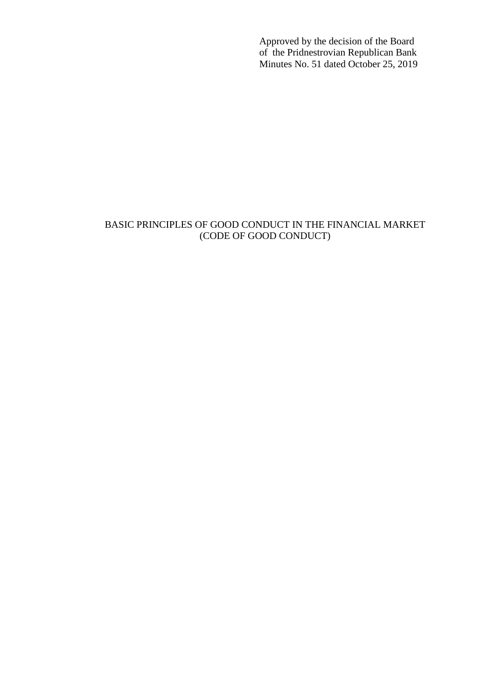Approved by the decision of the Board of the Pridnestrovian Republican Bank Minutes No. 51 dated October 25, 2019

# BASIC PRINCIPLES OF GOOD CONDUCT IN THE FINANCIAL MARKET (CODE OF GOOD CONDUCT)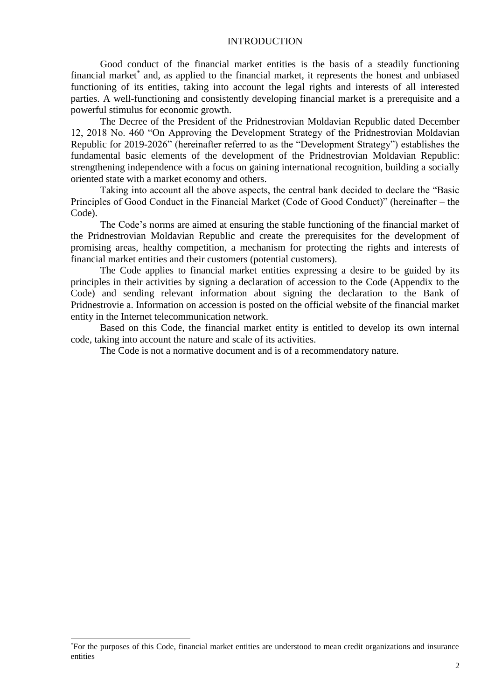## **INTRODUCTION**

Good conduct of the financial market entities is the basis of a steadily functioning financial market<sup>\*</sup> and, as applied to the financial market, it represents the honest and unbiased functioning of its entities, taking into account the legal rights and interests of all interested parties. A well-functioning and consistently developing financial market is a prerequisite and a powerful stimulus for economic growth.

The Decree of the President of the Pridnestrovian Moldavian Republic dated December 12, 2018 No. 460 "On Approving the Development Strategy of the Pridnestrovian Moldavian Republic for 2019-2026" (hereinafter referred to as the "Development Strategy") establishes the fundamental basic elements of the development of the Pridnestrovian Moldavian Republic: strengthening independence with a focus on gaining international recognition, building a socially oriented state with a market economy and others.

Taking into account all the above aspects, the central bank decided to declare the "Basic Principles of Good Conduct in the Financial Market (Code of Good Conduct)" (hereinafter – the Code).

The Code's norms are aimed at ensuring the stable functioning of the financial market of the Pridnestrovian Moldavian Republic and create the prerequisites for the development of promising areas, healthy competition, a mechanism for protecting the rights and interests of financial market entities and their customers (potential customers).

The Code applies to financial market entities expressing a desire to be guided by its principles in their activities by signing a declaration of accession to the Code (Appendix to the Code) and sending relevant information about signing the declaration to the Bank of Pridnestrovie a. Information on accession is posted on the official website of the financial market entity in the Internet telecommunication network.

Based on this Code, the financial market entity is entitled to develop its own internal code, taking into account the nature and scale of its activities.

The Code is not a normative document and is of a recommendatory nature.

-

<sup>\*</sup>For the purposes of this Code, financial market entities are understood to mean credit organizations and insurance entities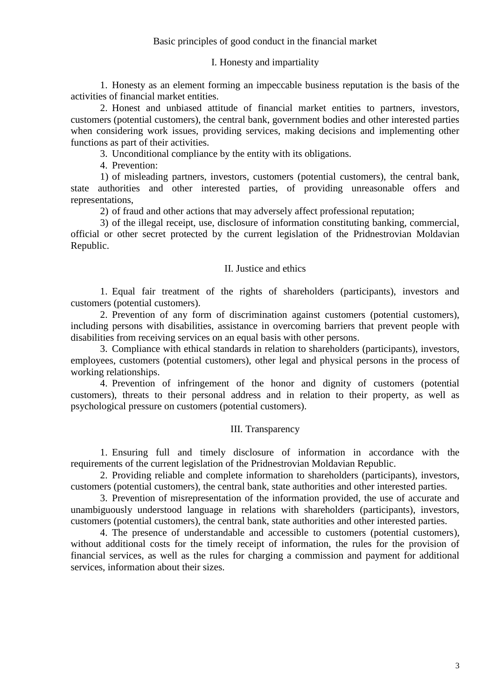## I. Honesty and impartiality

1. Honesty as an element forming an impeccable business reputation is the basis of the activities of financial market entities.

2. Honest and unbiased attitude of financial market entities to partners, investors, customers (potential customers), the central bank, government bodies and other interested parties when considering work issues, providing services, making decisions and implementing other functions as part of their activities.

3. Unconditional compliance by the entity with its obligations.

4. Prevention:

1) of misleading partners, investors, customers (potential customers), the central bank, state authorities and other interested parties, of providing unreasonable offers and representations,

2) of fraud and other actions that may adversely affect professional reputation;

3) of the illegal receipt, use, disclosure of information constituting banking, commercial, official or other secret protected by the current legislation of the Pridnestrovian Moldavian Republic.

### II. Justice and ethics

1. Equal fair treatment of the rights of shareholders (participants), investors and customers (potential customers).

2. Prevention of any form of discrimination against customers (potential customers), including persons with disabilities, assistance in overcoming barriers that prevent people with disabilities from receiving services on an equal basis with other persons.

3. Compliance with ethical standards in relation to shareholders (participants), investors, employees, customers (potential customers), other legal and physical persons in the process of working relationships.

4. Prevention of infringement of the honor and dignity of customers (potential customers), threats to their personal address and in relation to their property, as well as psychological pressure on customers (potential customers).

## III. Transparency

1. Ensuring full and timely disclosure of information in accordance with the requirements of the current legislation of the Pridnestrovian Moldavian Republic.

2. Providing reliable and complete information to shareholders (participants), investors, customers (potential customers), the central bank, state authorities and other interested parties.

3. Prevention of misrepresentation of the information provided, the use of accurate and unambiguously understood language in relations with shareholders (participants), investors, customers (potential customers), the central bank, state authorities and other interested parties.

4. The presence of understandable and accessible to customers (potential customers), without additional costs for the timely receipt of information, the rules for the provision of financial services, as well as the rules for charging a commission and payment for additional services, information about their sizes.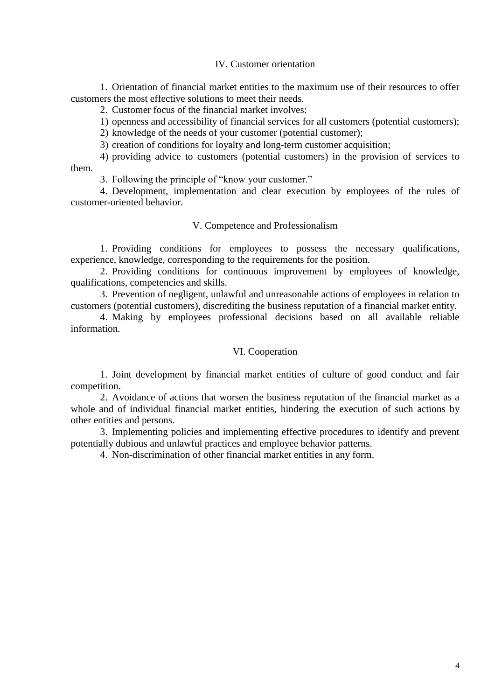#### IV. Customer orientation

1. Orientation of financial market entities to the maximum use of their resources to offer customers the most effective solutions to meet their needs.

2. Customer focus of the financial market involves:

1) openness and accessibility of financial services for all customers (potential customers);

2) knowledge of the needs of your customer (potential customer);

3) creation of conditions for loyalty and long-term customer acquisition;

4) providing advice to customers (potential customers) in the provision of services to them.

3. Following the principle of "know your customer."

4. Development, implementation and clear execution by employees of the rules of customer-oriented behavior.

#### V. Competence and Professionalism

1. Providing conditions for employees to possess the necessary qualifications, experience, knowledge, corresponding to the requirements for the position.

2. Providing conditions for continuous improvement by employees of knowledge, qualifications, competencies and skills.

3. Prevention of negligent, unlawful and unreasonable actions of employees in relation to customers (potential customers), discrediting the business reputation of a financial market entity.

4. Making by employees professional decisions based on all available reliable information.

## VI. Cooperation

1. Joint development by financial market entities of culture of good conduct and fair competition.

2. Avoidance of actions that worsen the business reputation of the financial market as a whole and of individual financial market entities, hindering the execution of such actions by other entities and persons.

3. Implementing policies and implementing effective procedures to identify and prevent potentially dubious and unlawful practices and employee behavior patterns.

4. Non-discrimination of other financial market entities in any form.